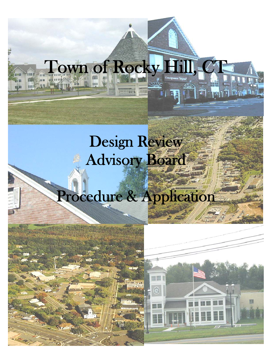### Town of Rocky Hill, C **ULLION** mid 249 L

ान

<u>pomina hun</u>

信藏

## Design Review **Advisory Board**

# Procedure & Application

i<br>S i i<br>Li l 画面

 $\odot$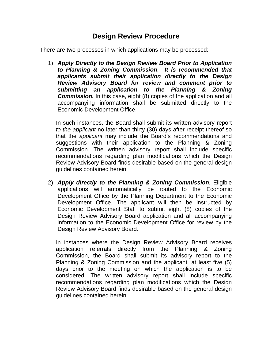#### **Design Review Procedure**

There are two processes in which applications may be processed:

1) *Apply Directly to the Design Review Board Prior to Application to Planning & Zoning Commission*. *It is recommended that applicants submit their application directly to the Design Review Advisory Board for review and comment prior to submitting an application to the Planning & Zoning*  **Commission.** In this case, eight (8) copies of the application and all accompanying information shall be submitted directly to the Economic Development Office.

In such instances, the Board shall submit its written advisory report *to the applicant* no later than thirty (30) days after receipt thereof so that the *applicant* may include the Board's recommendations and suggestions with their application to the Planning & Zoning Commission. The written advisory report shall include specific recommendations regarding plan modifications which the Design Review Advisory Board finds desirable based on the general design guidelines contained herein.

2) *Apply directly to the Planning & Zoning Commission:* Eligible applications will automatically be routed to the Economic Development Office by the Planning Department to the Economic Development Office. The applicant will then be instructed by Economic Development Staff to submit eight (8) copies of the Design Review Advisory Board application and all accompanying information to the Economic Development Office for review by the Design Review Advisory Board.

In instances where the Design Review Advisory Board receives application referrals directly from the Planning & Zoning Commission, the Board shall submit its advisory report to the Planning & Zoning Commission and the applicant, at least five (5) days prior to the meeting on which the application is to be considered. The written advisory report shall include specific recommendations regarding plan modifications which the Design Review Advisory Board finds desirable based on the general design guidelines contained herein.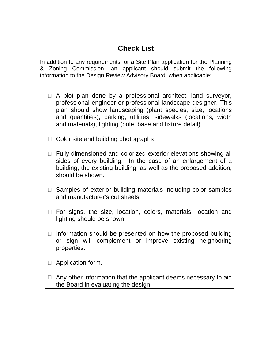### **Check List**

In addition to any requirements for a Site Plan application for the Planning & Zoning Commission, an applicant should submit the following information to the Design Review Advisory Board, when applicable:

- $\Box$  A plot plan done by a professional architect, land surveyor, professional engineer or professional landscape designer. This plan should show landscaping (plant species, size, locations and quantities), parking, utilities, sidewalks (locations, width and materials), lighting (pole, base and fixture detail)
- $\Box$  Color site and building photographs
- $\Box$  Fully dimensioned and colorized exterior elevations showing all sides of every building. In the case of an enlargement of a building, the existing building, as well as the proposed addition, should be shown.
- $\Box$  Samples of exterior building materials including color samples and manufacturer's cut sheets.
- $\Box$  For signs, the size, location, colors, materials, location and lighting should be shown.
- $\Box$  Information should be presented on how the proposed building or sign will complement or improve existing neighboring properties.
- □ Application form.
- $\Box$  Any other information that the applicant deems necessary to aid the Board in evaluating the design.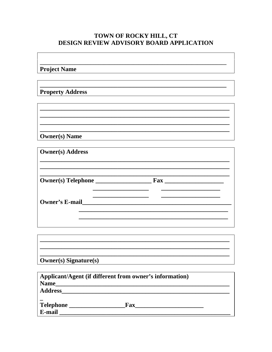#### TOWN OF ROCKY HILL, CT DESIGN REVIEW ADVISORY BOARD APPLICATION

**Project Name** 

**Property Address** 

**Owner(s)** Name

| <b>Owner(s)</b> Address |                                                                     |  |
|-------------------------|---------------------------------------------------------------------|--|
|                         | $\bf{F}$ ax<br><u> 1980 - Jan Barbara Barbara, maskin politik (</u> |  |
| <b>Owner's E-mail</b>   |                                                                     |  |
|                         |                                                                     |  |

| <b>Owner(s)</b> Signature(s) |  |  |
|------------------------------|--|--|

| Applicant/Agent (if different from owner's information) |            |  |  |
|---------------------------------------------------------|------------|--|--|
| <b>Name</b>                                             |            |  |  |
| <b>Address</b>                                          |            |  |  |
|                                                         |            |  |  |
| Telephone _                                             | <b>Fax</b> |  |  |
| E-mail                                                  |            |  |  |
|                                                         |            |  |  |